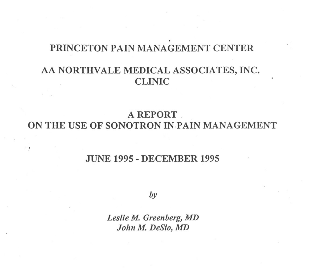# PRINCETON PAIN MANAGEMENT CENTER AA NORTHVALE MEDICAL ASSOCIATES, INC. CLINIC

A REPORT. ON THE USE OF SONOTRON IN.PAIN MANAGEMENT

## JUNE <sup>1995</sup> -DECEMBER <sup>1995</sup>

 $\cdot$  .

*by*

*Leslie M. Greenberg,MD John M. DeSio, MD*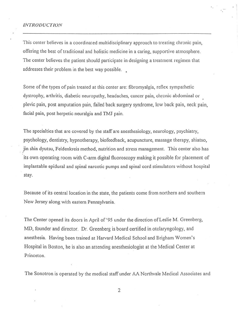#### *INTRODUCTION*

This center believes in a coordinated multidisciplinaryapproach to treating chronic pain, offering the best of traditional and holistic medicine in a caring, supportive atmosphere. The center believes the patient should participate in designing a treatment regimen that addresses their problem in the best way possible. .

 $\mathbf{r}$  .  $\mathbf{r}$ 

Some of the types of pain treated at this center are: fibromyalgia, reflex sympathetic dystrophy, arthritis, diabetic neuropathy, headaches, cancer pain, chronic abdominal or plevic pain, post amputation pain, failed back surgery syndrome, low back pain, neck pain, facial pain, post herpetic neuralgia and TMJ pain.

The specialties that are covered by the staff are anesthesiology, neurology, psychiatry, psychology, dentistry, hypnotherapy, biofeedback, acupuncture, massage therapy, shiatso,  $\mu$  in shin dyutsu, Feldenkreis method, nutrition and stress management. This center also has its own operating room with C-arm digital fluoroscopy making it possible for placement of implantable epidural and spinal narcotic pumps and spinal cord stimulators without hospital stay.

Because of its central location in the state, the patients come from northern and southern New Jersey along with eastern Pennsylvania.

The Center opened its doors in April of '95 under the direction of Leslie M. Greenberg, MD, founder and director. Dr. Greenberg is board certified in otolaryngology, and anesthesia. Having been trained at Harvard Medical School and Brigham Women's Hospital in Boston, he is also an attending anesthesiologist at the Medical Center at Princeton.

The Sonotron is operated by the medical staff under AA Northvale Medical Associates and

2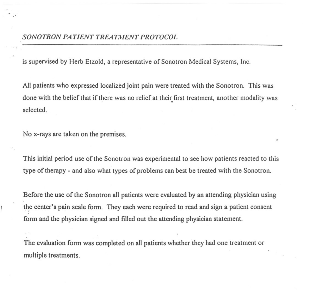is supervised by Herb Etzold, a representative of Sonotron Medical Systems, Inc.

All patients who expressed localized joint pain were treated with the Sonotron. This was done with the belief that if there was no relief at their first treatment, another modality was selected.

No x-rays are taken on the premises.

.'

This initial period use of the Sonotron was experimental to see how patients reacted to this type of therapy - and also what types of problems can best be treated with the Sonotron.

Before the use of the Sonotron all patients were evaluated by an attending physician using the center's pain scale form. They each were required to read and sign a patient consent form and the physician signed and filled out the attending physician statement.

The evaluation form was completed on all patients whether they had one treatment or multiple treatments.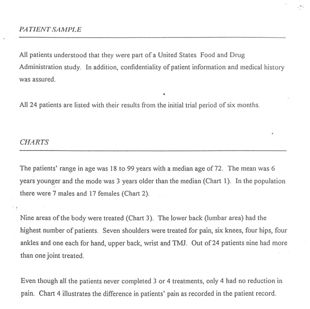All patients understood that they were part of a United States Food and Drug Administration study. In addition, confidentiality of patient information and medical history was assured. .

...

All 24 patients are listed with their results from the initial trial period of six months.

#### *CHARTS*

,

The patients' range in age was 18 to 99 years with a median age of 72. The mean was 6 years younger and the mode was 3 years older than the median (Chart 1). In the population there were 7 males and 17 females (Chart 2).

Nine areas of the body were treated (Chart 3). The lower back (lumbar area) had the highest number of patients. Seven shoulders were treated for pain, six knees, four hips, four ankles and one each for hand, upper back, wrist and TMJ. Out of 24 patients nine had more than one joint treated.

Even though all the patients never completed 3 or 4 treatments, only 4 had no reduction in pain. Chart 4 illustrates the difference in patients' pain as recorded in the patient record.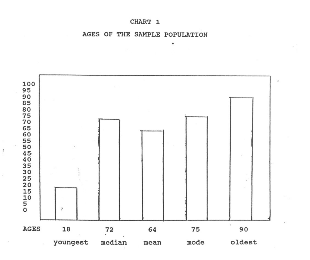#### CHART 1

AGES OF THE SAMPLE POPULATION

.



 $\overline{1}$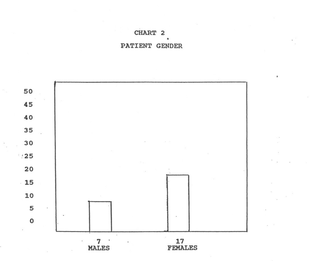



PATIENT GENDER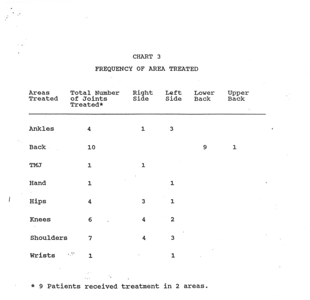#### **CHART 3**

### **FREQUENCY OF AREA TREATED**

| Areas<br>Treated | Total Number<br>of Joints<br>Treated* | Right<br>Side | Left<br>Side   | Lower<br><b>Back</b> | Upper<br><b>Back</b> |                          |
|------------------|---------------------------------------|---------------|----------------|----------------------|----------------------|--------------------------|
| Ankles           | 4                                     | 1             | 3              |                      |                      |                          |
| <b>Back</b>      | 10                                    |               |                | 9                    | $\mathbf{1}$         |                          |
| TMJ              | $\mathbf{1}$                          | 1             |                |                      |                      |                          |
| Hand             | 1                                     |               | 1              |                      |                      | $\overline{\phantom{a}}$ |
| Hips             | 4                                     | 3             | $\mathbf{1}$   |                      |                      |                          |
| <b>Knees</b>     | 6                                     | 4             | $\overline{2}$ |                      |                      |                          |
| Shoulders        | 7                                     | 4             | 3              |                      |                      |                          |
| Wrists<br>- 23   | 1                                     |               | $\mathbf{1}$   |                      |                      |                          |

\* 9 **Patients received treatment in 2 areas.**

 $\mathbb{R}^{\mathbb{Z}^{\times}}$ 

 $\mathcal{L}^{\text{max}}$